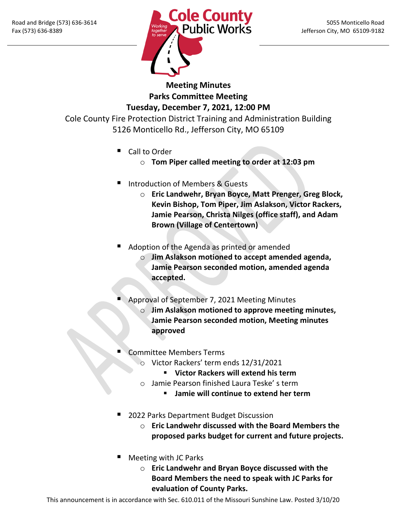

**Meeting Minutes Parks Committee Meeting Tuesday, December 7, 2021, 12:00 PM**

Cole County Fire Protection District Training and Administration Building 5126 Monticello Rd., Jefferson City, MO 65109

- Call to Order
	- o **Tom Piper called meeting to order at 12:03 pm**
- Introduction of Members & Guests
	- o **Eric Landwehr, Bryan Boyce, Matt Prenger, Greg Block, Kevin Bishop, Tom Piper, Jim Aslakson, Victor Rackers, Jamie Pearson, Christa Nilges (office staff), and Adam Brown (Village of Centertown)**
- Adoption of the Agenda as printed or amended
	- o **Jim Aslakson motioned to accept amended agenda, Jamie Pearson seconded motion, amended agenda accepted.**
- Approval of September 7, 2021 Meeting Minutes
	- o **Jim Aslakson motioned to approve meeting minutes, Jamie Pearson seconded motion, Meeting minutes approved**
- Committee Members Terms
	- o Victor Rackers' term ends 12/31/2021
		- **Victor Rackers will extend his term**
	- o Jamie Pearson finished Laura Teske' s term
		- **Jamie will continue to extend her term**
- 2022 Parks Department Budget Discussion
	- o **Eric Landwehr discussed with the Board Members the proposed parks budget for current and future projects.**
- Meeting with JC Parks
	- o **Eric Landwehr and Bryan Boyce discussed with the Board Members the need to speak with JC Parks for evaluation of County Parks.**

This announcement is in accordance with Sec. 610.011 of the Missouri Sunshine Law. Posted 3/10/20